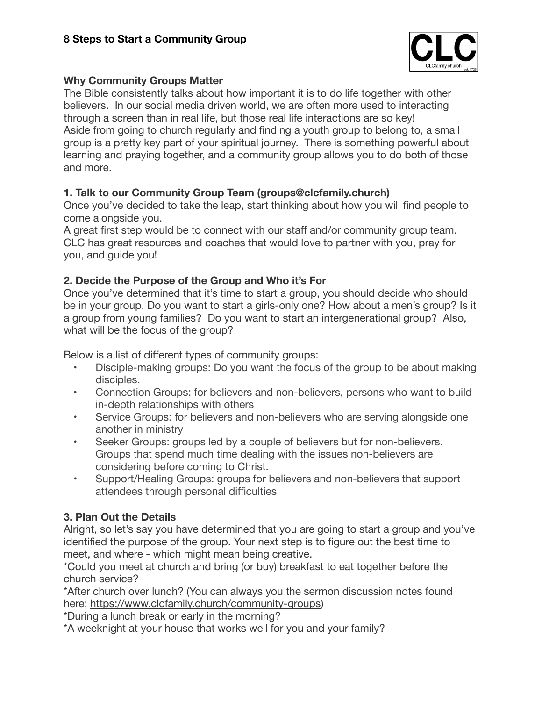

## **Why Community Groups Matter**

The Bible consistently talks about how important it is to do life together with other believers. In our social media driven world, we are often more used to interacting through a screen than in real life, but those real life interactions are so key! Aside from going to church regularly and finding a youth group to belong to, a small group is a pretty key part of your spiritual journey. There is something powerful about learning and praying together, and a community group allows you to do both of those and more.

## **1. Talk to our Community Group Team [\(groups@clcfamily.church\)](mailto:groups@clcfamily.church)**

Once you've decided to take the leap, start thinking about how you will find people to come alongside you.

A great first step would be to connect with our staff and/or community group team. CLC has great resources and coaches that would love to partner with you, pray for you, and guide you!

# **2. Decide the Purpose of the Group and Who it's For**

Once you've determined that it's time to start a group, you should decide who should be in your group. Do you want to start a girls-only one? How about a men's group? Is it a group from young families? Do you want to start an intergenerational group? Also, what will be the focus of the group?

Below is a list of different types of community groups:

- Disciple-making groups: Do you want the focus of the group to be about making disciples.
- Connection Groups: for believers and non-believers, persons who want to build in-depth relationships with others
- Service Groups: for believers and non-believers who are serving alongside one another in ministry
- Seeker Groups: groups led by a couple of believers but for non-believers. Groups that spend much time dealing with the issues non-believers are considering before coming to Christ.
- Support/Healing Groups: groups for believers and non-believers that support attendees through personal difficulties

# **3. Plan Out the Details**

Alright, so let's say you have determined that you are going to start a group and you've identified the purpose of the group. Your next step is to figure out the best time to meet, and where - which might mean being creative.

\*Could you meet at church and bring (or buy) breakfast to eat together before the church service?

\*After church over lunch? (You can always you the sermon discussion notes found here;<https://www.clcfamily.church/community-groups>)

\*During a lunch break or early in the morning?

\*A weeknight at your house that works well for you and your family?